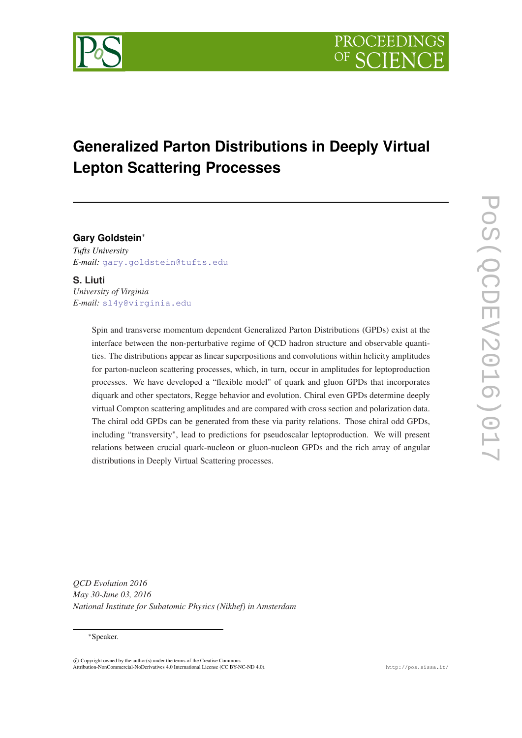

# **Generalized Parton Distributions in Deeply Virtual Lepton Scattering Processes**

**Gary Goldstein**<sup>∗</sup> *Tufts University E-mail:* [gary.goldstein@tufts.edu](mailto:gary.goldstein@tufts.edu)

**S. Liuti** *University of Virginia E-mail:* [sl4y@virginia.edu](mailto:sl4y@virginia.edu)

> Spin and transverse momentum dependent Generalized Parton Distributions (GPDs) exist at the interface between the non-perturbative regime of QCD hadron structure and observable quantities. The distributions appear as linear superpositions and convolutions within helicity amplitudes for parton-nucleon scattering processes, which, in turn, occur in amplitudes for leptoproduction processes. We have developed a "flexible model" of quark and gluon GPDs that incorporates diquark and other spectators, Regge behavior and evolution. Chiral even GPDs determine deeply virtual Compton scattering amplitudes and are compared with cross section and polarization data. The chiral odd GPDs can be generated from these via parity relations. Those chiral odd GPDs, including "transversity", lead to predictions for pseudoscalar leptoproduction. We will present relations between crucial quark-nucleon or gluon-nucleon GPDs and the rich array of angular distributions in Deeply Virtual Scattering processes.

POS(QCDEV2016)017 PoS(QCDEV2016)017

*QCD Evolution 2016 May 30-June 03, 2016 National Institute for Subatomic Physics (Nikhef) in Amsterdam*

<sup>∗</sup>Speaker.

 $(C)$  Copyright owned by the author(s) under the terms of the Creative Common Attribution-NonCommercial-NoDerivatives 4.0 International License (CC BY-NC-ND 4.0). http://pos.sissa.it/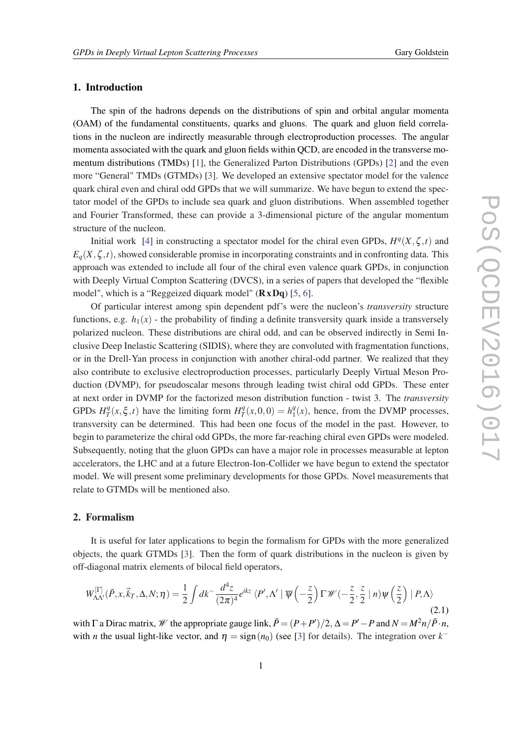# <span id="page-1-0"></span>1. Introduction

The spin of the hadrons depends on the distributions of spin and orbital angular momenta (OAM) of the fundamental constituents, quarks and gluons. The quark and gluon field correlations in the nucleon are indirectly measurable through electroproduction processes. The angular momenta associated with the quark and gluon fields within QCD, are encoded in the transverse momentum distributions (TMDs) [[1](#page-9-0)], the Generalized Parton Distributions (GPDs) [\[2\]](#page-9-0) and the even more "General" TMDs (GTMDs) [\[3\]](#page-9-0). We developed an extensive spectator model for the valence quark chiral even and chiral odd GPDs that we will summarize. We have begun to extend the spectator model of the GPDs to include sea quark and gluon distributions. When assembled together and Fourier Transformed, these can provide a 3-dimensional picture of the angular momentum structure of the nucleon.

Initial work [[4](#page-9-0)] in constructing a spectator model for the chiral even GPDs,  $H^q(X, \zeta, t)$  and  $E_q(X, \zeta, t)$ , showed considerable promise in incorporating constraints and in confronting data. This approach was extended to include all four of the chiral even valence quark GPDs, in conjunction with Deeply Virtual Compton Scattering (DVCS), in a series of papers that developed the "flexible model", which is a "Reggeized diquark model"  $(RxDq)$  [[5](#page-9-0), [6](#page-9-0)].

Of particular interest among spin dependent pdf's were the nucleon's *transversity* structure functions, e.g.  $h_1(x)$  - the probability of finding a definite transversity quark inside a transversely polarized nucleon. These distributions are chiral odd, and can be observed indirectly in Semi Inclusive Deep Inelastic Scattering (SIDIS), where they are convoluted with fragmentation functions, or in the Drell-Yan process in conjunction with another chiral-odd partner. We realized that they also contribute to exclusive electroproduction processes, particularly Deeply Virtual Meson Production (DVMP), for pseudoscalar mesons through leading twist chiral odd GPDs. These enter at next order in DVMP for the factorized meson distribution function - twist 3. The *transversity* GPDs  $H_T^q$  $T_T^q(x,\xi,t)$  have the limiting form  $H_T^q$  $T^q(x,0,0) = h_1^q$  $\frac{q}{1}(x)$ , hence, from the DVMP processes, transversity can be determined. This had been one focus of the model in the past. However, to begin to parameterize the chiral odd GPDs, the more far-reaching chiral even GPDs were modeled. Subsequently, noting that the gluon GPDs can have a major role in processes measurable at lepton accelerators, the LHC and at a future Electron-Ion-Collider we have begun to extend the spectator model. We will present some preliminary developments for those GPDs. Novel measurements that relate to GTMDs will be mentioned also.

### 2. Formalism

It is useful for later applications to begin the formalism for GPDs with the more generalized objects, the quark GTMDs [\[3](#page-9-0)]. Then the form of quark distributions in the nucleon is given by off-diagonal matrix elements of bilocal field operators,

$$
W_{\Lambda\Lambda'}^{[\Gamma]}(\bar{P},x,\vec{k}_T,\Delta,N;\eta) = \frac{1}{2} \int dk^- \frac{d^4z}{(2\pi)^4} e^{ikz} \langle P',\Lambda' \mid \overline{\psi}\left(-\frac{z}{2}\right) \Gamma \mathscr{W}\left(-\frac{z}{2},\frac{z}{2} \mid n\right) \psi\left(\frac{z}{2}\right) \mid P,\Lambda\rangle \tag{2.1}
$$

with  $\Gamma$  a Dirac matrix,  $\mathscr W$  the appropriate gauge link,  $\bar{P} = (P + P')/2$ ,  $\Delta = P' - P$  and  $N = M^2 n / \bar{P} \cdot n$ , with *n* the usual light-like vector, and  $\eta = \text{sign}(n_0)$  (see [\[3\]](#page-9-0) for details). The integration over  $k^-$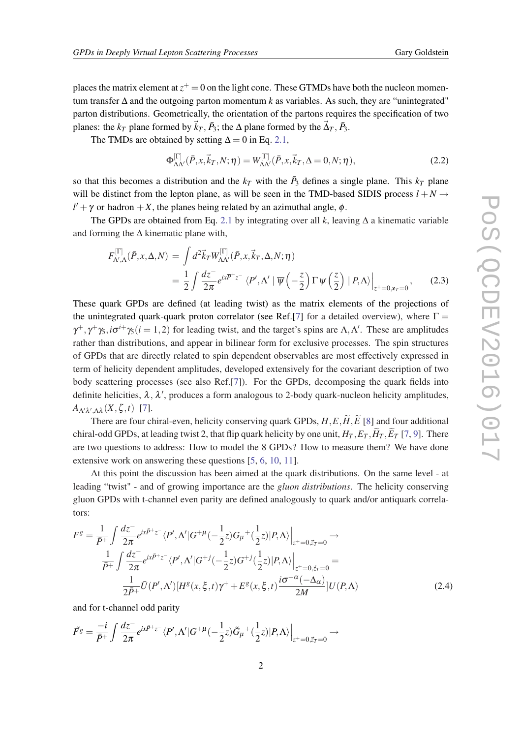<span id="page-2-0"></span>places the matrix element at  $z^+ = 0$  on the light cone. These GTMDs have both the nucleon momentum transfer ∆ and the outgoing parton momentum *k* as variables. As such, they are "unintegrated" parton distributions. Geometrically, the orientation of the partons requires the specification of two planes: the *k<sub>T</sub>* plane formed by  $\vec{k}_T$ ,  $\vec{P}_3$ ; the  $\Delta$  plane formed by the  $\vec{\Delta}_T$ ,  $\vec{P}_3$ .

The TMDs are obtained by setting  $\Delta = 0$  in Eq. [2.1,](#page-1-0)

$$
\Phi_{\Lambda\Lambda'}^{[\Gamma]}(\bar{P},x,\vec{k}_T,N;\eta) = W_{\Lambda\Lambda'}^{[\Gamma]}(\bar{P},x,\vec{k}_T,\Delta=0,N;\eta),\tag{2.2}
$$

so that this becomes a distribution and the  $k_T$  with the  $\bar{P}_3$  defines a single plane. This  $k_T$  plane will be distinct from the lepton plane, as will be seen in the TMD-based SIDIS process  $l + N \rightarrow$  $l' + \gamma$  or hadron  $+X$ , the planes being related by an azimuthal angle,  $\phi$ .

The GPDs are obtained from Eq. [2.1](#page-1-0) by integrating over all *k*, leaving ∆ a kinematic variable and forming the  $\Delta$  kinematic plane with,

$$
F_{\Lambda',\Lambda}^{[\Gamma]}(\bar{P},x,\Delta,N) = \int d^2 \vec{k}_T W_{\Lambda\Lambda'}^{[\Gamma]}(\bar{P},x,\vec{k}_T,\Delta,N;\eta)
$$
  
= 
$$
\frac{1}{2} \int \frac{dz^-}{2\pi} e^{ix\bar{P}^+\bar{z}^-} \langle P',\Lambda' | \overline{\psi} \left( -\frac{z}{2} \right) \Gamma \psi \left( \frac{z}{2} \right) | P,\Lambda \rangle \Big|_{z^+=0,\mathbf{z}_T=0},
$$
(2.3)

These quark GPDs are defined (at leading twist) as the matrix elements of the projections of the unintegrated quark-quark proton correlator (see Ref.[\[7\]](#page-9-0) for a detailed overview), where  $\Gamma =$  $\gamma^+$ ,  $\gamma^+$   $\gamma_5$ ,  $i\sigma^{i+}$   $\gamma_5$  ( $i = 1, 2$ ) for leading twist, and the target's spins are  $\Lambda$ ,  $\Lambda'$ . These are amplitudes rather than distributions, and appear in bilinear form for exclusive processes. The spin structures of GPDs that are directly related to spin dependent observables are most effectively expressed in term of helicity dependent amplitudes, developed extensively for the covariant description of two body scattering processes (see also Ref.[[7](#page-9-0)]). For the GPDs, decomposing the quark fields into definite helicities,  $\lambda$ ,  $\lambda'$ , produces a form analogous to 2-body quark-nucleon helicity amplitudes,  $A_{Λ'λ',Λλ}(X, \zeta, t)$  [[7](#page-9-0)].

There are four chiral-even, helicity conserving quark GPDs,  $H, E, \widetilde{H}, \widetilde{E}$  [[8](#page-9-0)] and four additional chiral-odd GPDs, at leading twist 2, that flip quark helicity by one unit,  $H_T$ ,  $E_T$ ,  $\tilde{H}_T$ ,  $\tilde{E}_T$  [\[7,](#page-9-0) [9\]](#page-9-0). There are two questions to address: How to model the 8 GPDs? How to measure them? We have done extensive work on answering these questions [[5](#page-9-0), [6,](#page-9-0) [10](#page-9-0), [11\]](#page-9-0).

At this point the discussion has been aimed at the quark distributions. On the same level - at leading "twist" - and of growing importance are the *gluon distributions*. The helicity conserving gluon GPDs with t-channel even parity are defined analogously to quark and/or antiquark correlators:

$$
F^{g} = \frac{1}{\bar{P}^{+}} \int \frac{dz^{-}}{2\pi} e^{ix\bar{P}^{+}z^{-}} \langle P', \Lambda' | G^{+\mu}(-\frac{1}{2}z) G_{\mu}^{+}(\frac{1}{2}z) | P, \Lambda \rangle \Big|_{z^{+}=0, \vec{z}_{T}=0} \to
$$
  

$$
\frac{1}{\bar{P}^{+}} \int \frac{dz^{-}}{2\pi} e^{ix\bar{P}^{+}z^{-}} \langle P', \Lambda' | G^{+}(\frac{1}{2}z) G^{+}(\frac{1}{2}z) | P, \Lambda \rangle \Big|_{z^{+}=0, \vec{z}_{T}=0} =
$$
  

$$
\frac{1}{2\bar{P}^{+}} \bar{U}(P', \Lambda') [H^{g}(x, \xi, t) \gamma^{+} + E^{g}(x, \xi, t) \frac{i\sigma^{+\alpha}(-\Delta_{\alpha})}{2M}] U(P, \Lambda)
$$
(2.4)

and for t-channel odd parity

$$
\tilde{F}^g = \frac{-i}{\bar{P}^+} \int \frac{dz^-}{2\pi} e^{ix\bar{P}^+z^-} \langle P', \Lambda' | G^{+\mu}(-\frac{1}{2}z) \tilde{G}_{\mu}^{\dagger}(\frac{1}{2}z) |P, \Lambda \rangle \Big|_{z^+ = 0, \vec{z}_T = 0} \longrightarrow
$$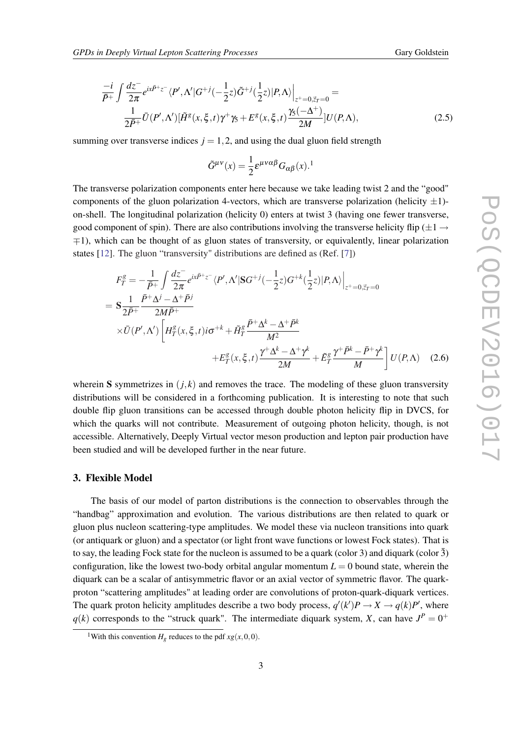<span id="page-3-0"></span>
$$
\frac{-i}{\overline{P}^+}\int \frac{dz^-}{2\pi} e^{ix\overline{P}^+z^-} \langle P', \Lambda' | G^{+j}(-\frac{1}{2}z) \tilde{G}^{+j}(\frac{1}{2}z) |P, \Lambda \rangle \Big|_{z^+=0, \vec{z}_T=0} =
$$
\n
$$
\frac{1}{2\overline{P}^+}\overline{U}(P', \Lambda')[\tilde{H}^g(x, \xi, t)\gamma^+\gamma_5 + E^g(x, \xi, t)\frac{\gamma_5(-\Delta^+)}{2M}]U(P, \Lambda),
$$
\n(2.5)

summing over transverse indices  $j = 1, 2$ , and using the dual gluon field strength

$$
\tilde{G}^{\mu\nu}(x) = \frac{1}{2} \varepsilon^{\mu\nu\alpha\beta} G_{\alpha\beta}(x).^1
$$

The transverse polarization components enter here because we take leading twist 2 and the "good" components of the gluon polarization 4-vectors, which are transverse polarization (helicity  $\pm 1$ )on-shell. The longitudinal polarization (helicity 0) enters at twist 3 (having one fewer transverse, good component of spin). There are also contributions involving the transverse helicity flip ( $\pm 1 \rightarrow$ ∓1), which can be thought of as gluon states of transversity, or equivalently, linear polarization states [[12\]](#page-9-0). The gluon "transversity" distributions are defined as (Ref. [[7](#page-9-0)])

$$
F_T^g = -\frac{1}{\bar{P}^+} \int \frac{dz^-}{2\pi} e^{ix\bar{P}^+z^-} \langle P', \Lambda' | SG^{+j}(-\frac{1}{2}z) G^{+k}(\frac{1}{2}z) | P, \Lambda \rangle \Big|_{z^+ = 0, \vec{z}_T = 0}
$$
  
\n
$$
= S \frac{1}{2\bar{P}^+} \frac{\bar{P}^+ \Lambda^j - \Lambda^+ \bar{P}^j}{2M\bar{P}^+}
$$
  
\n
$$
\times \bar{U}(P', \Lambda') \left[ H_T^g(x, \xi, t) i\sigma^{+k} + \tilde{H}_T^g \frac{\bar{P}^+ \Lambda^k - \Lambda^+ \bar{P}^k}{M^2} + E_T^g \frac{\gamma^+ \bar{P}^k - \bar{P}^+ \gamma^k}{M} \right] U(P, \Lambda) \quad (2.6)
$$

wherein S symmetrizes in  $(j, k)$  and removes the trace. The modeling of these gluon transversity distributions will be considered in a forthcoming publication. It is interesting to note that such double flip gluon transitions can be accessed through double photon helicity flip in DVCS, for which the quarks will not contribute. Measurement of outgoing photon helicity, though, is not accessible. Alternatively, Deeply Virtual vector meson production and lepton pair production have been studied and will be developed further in the near future.

# 3. Flexible Model

The basis of our model of parton distributions is the connection to observables through the "handbag" approximation and evolution. The various distributions are then related to quark or gluon plus nucleon scattering-type amplitudes. We model these via nucleon transitions into quark (or antiquark or gluon) and a spectator (or light front wave functions or lowest Fock states). That is to say, the leading Fock state for the nucleon is assumed to be a quark (color 3) and diquark (color  $\bar{3}$ ) configuration, like the lowest two-body orbital angular momentum  $L = 0$  bound state, wherein the diquark can be a scalar of antisymmetric flavor or an axial vector of symmetric flavor. The quarkproton "scattering amplitudes" at leading order are convolutions of proton-quark-diquark vertices. The quark proton helicity amplitudes describe a two body process,  $q'(k')P \to X \to q(k)P'$ , where  $q(k)$  corresponds to the "struck quark". The intermediate diquark system, *X*, can have  $J^P = 0^+$ 

<sup>&</sup>lt;sup>1</sup>With this convention  $H<sub>g</sub>$  reduces to the pdf  $xg(x,0,0)$ .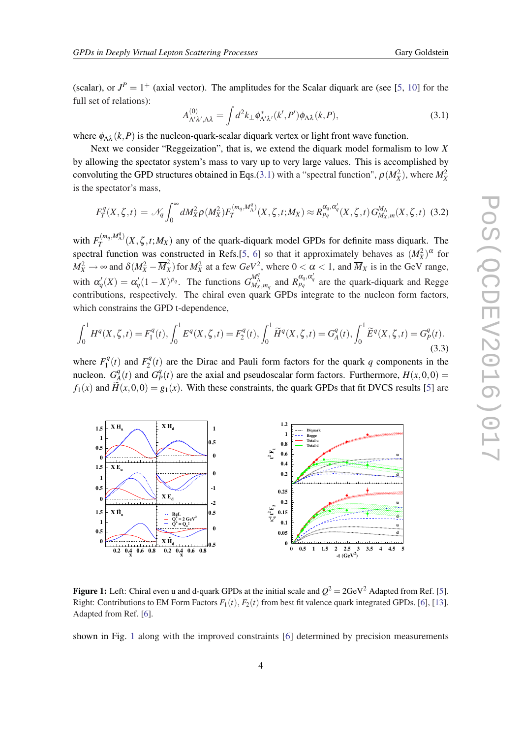<span id="page-4-0"></span>(scalar), or  $J^P = 1^+$  (axial vector). The amplitudes for the Scalar diquark are (see [\[5,](#page-9-0) [10\]](#page-9-0) for the full set of relations):

$$
A_{\Lambda'\lambda',\Lambda\lambda}^{(0)} = \int d^2k_\perp \phi_{\Lambda'\lambda'}^*(k',P') \phi_{\Lambda\lambda}(k,P), \tag{3.1}
$$

where  $\phi_{\Lambda\lambda}(k, P)$  is the nucleon-quark-scalar diquark vertex or light front wave function.

Next we consider "Reggeization", that is, we extend the diquark model formalism to low *X* by allowing the spectator system's mass to vary up to very large values. This is accomplished by convoluting the GPD structures obtained in Eqs.(3.1) with a "spectral function",  $\rho(M_X^2)$ , where  $M_X^2$ is the spectator's mass,

$$
F_T^q(X,\zeta,t) = \mathcal{N}_q \int_0^\infty dM_X^2 \rho(M_X^2) F_T^{(m_q,M_\Lambda^q)}(X,\zeta,t;M_X) \approx R_{p_q}^{\alpha_q,\alpha'_q}(X,\zeta,t) G_{M_X,m}^{M_\Lambda}(X,\zeta,t)
$$
(3.2)

with  $F_T^{(m_q, M_\Lambda^q)}$  $T$ <sup> $(m_q, m_A)$ </sup> $(X, \zeta, t; M_X)$  any of the quark-diquark model GPDs for definite mass diquark. The spectral function was constructed in Refs.[\[5,](#page-9-0) [6](#page-9-0)] so that it approximately behaves as  $(M_X^2)^\alpha$  for  $M_X^2 \to \infty$  and  $\delta (M_X^2 - \overline{M}_X^2)$  $\frac{X}{X}$  for  $M_X^2$  at a few  $GeV^2$ , where  $0 < \alpha < 1$ , and  $\overline{M}_X$  is in the GeV range, with  $\alpha'_q(X) = \alpha'_q(1-X)^{p_q}$ . The functions  $G_{M_X,m_q}^{M_A^q}$  and  $R_{p_q}^{\alpha_q,\alpha'_q}$  are the quark-diquark and Regge contributions, respectively. The chiral even quark GPDs integrate to the nucleon form factors, which constrains the GPD t-dependence,

$$
\int_0^1 H^q(X,\zeta,t) = F_1^q(t), \int_0^1 E^q(X,\zeta,t) = F_2^q(t), \int_0^1 \widetilde{H}^q(X,\zeta,t) = G_A^q(t), \int_0^1 \widetilde{E}^q(X,\zeta,t) = G_P^q(t). \tag{3.3}
$$

where  $F_1^q$  $F_1^q(t)$  and  $F_2^q$  $2^q(t)$  are the Dirac and Pauli form factors for the quark *q* components in the nucleon.  $G_A^q$  $\frac{q}{A}(t)$  and  $G^q$  $P<sup>q</sup>(t)$  are the axial and pseudoscalar form factors. Furthermore,  $H(x,0,0) =$  $f_1(x)$  and  $\widetilde{H}(x,0,0) = g_1(x)$ . With these constraints, the quark GPDs that fit DVCS results [[5](#page-9-0)] are



**Figure 1:** Left: Chiral even u and d-quark GPDs at the initial scale and  $Q^2 = 2 \text{GeV}^2$  Adapted from Ref. [\[5](#page-9-0)]. Right: Contributions to EM Form Factors  $F_1(t)$ ,  $F_2(t)$  from best fit valence quark integrated GPDs. [[6\]](#page-9-0), [\[13](#page-9-0)]. Adapted from Ref. [\[6](#page-9-0)].

shown in Fig. 1 along with the improved constraints [[6](#page-9-0)] determined by precision measurements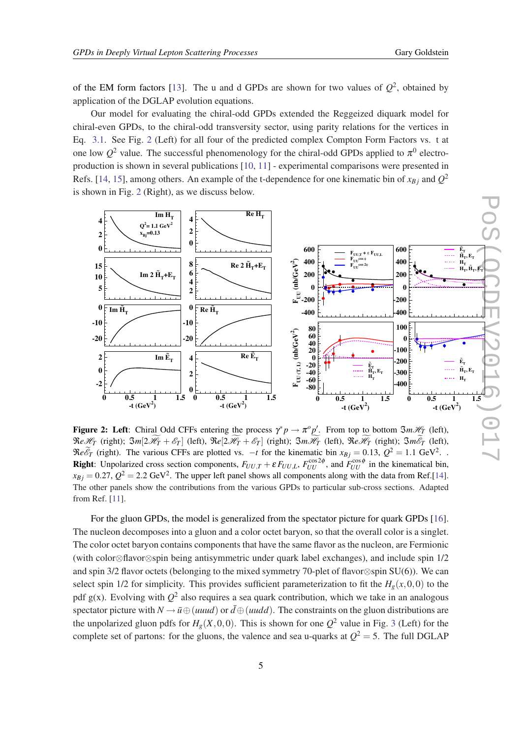<span id="page-5-0"></span>of the EM form factors [\[13](#page-9-0)]. The u and d GPDs are shown for two values of  $Q^2$ , obtained by application of the DGLAP evolution equations.

Our model for evaluating the chiral-odd GPDs extended the Reggeized diquark model for chiral-even GPDs, to the chiral-odd transversity sector, using parity relations for the vertices in Eq. [3.1.](#page-4-0) See Fig. 2 (Left) for all four of the predicted complex Compton Form Factors vs. t at one low  $Q^2$  value. The successful phenomenology for the chiral-odd GPDs applied to  $\pi^0$  electroproduction is shown in several publications [\[10,](#page-9-0) [11](#page-9-0)] - experimental comparisons were presented in Refs. [\[14](#page-9-0), [15](#page-9-0)], among others. An example of the t-dependence for one kinematic bin of  $x_{Bj}$  and  $Q^2$ is shown in Fig. 2 (Right), as we discuss below.



**Figure 2:** Left: Chiral Odd CFFs entering the process  $\gamma^* p \to \pi^o p'$ . From top to bottom  $\Im m\mathcal{H}_T$  (left),  $\Re$ e $\mathcal{H}_T$  (right);  $\Im$ *m*[2 $\mathcal{H}_T$  +  $\mathcal{E}_T$ ] (left),  $\Re$ e[2 $\mathcal{H}_T$  +  $\mathcal{E}_T$ ] (right);  $\Im$ *m* $\mathcal{H}_T$  (left),  $\Re$ e $\mathcal{H}_T$  (right);  $\Im$ *m* $\mathcal{E}_T$  (left),  $\mathcal{R}e^{\mathcal{E}_{T}}$  (right). The various CFFs are plotted vs.  $-t$  for the kinematic bin  $x_{Bj} = 0.13$ ,  $Q^2 = 1.1$  GeV<sup>2</sup>. **Right**: Unpolarized cross section components,  $F_{UU,T} + \varepsilon F_{UU,L}$ ,  $F_{UU}^{\cos 2\phi}$ , and  $F_{UU}^{\cos \phi}$  in the kinematical bin,  $x_{Bj} = 0.27, Q^2 = 2.2$  GeV<sup>2</sup>. The upper left panel shows all components along with the data from Ref.[\[14](#page-9-0)]. The other panels show the contributions from the various GPDs to particular sub-cross sections. Adapted from Ref. [[11\]](#page-9-0).

For the gluon GPDs, the model is generalized from the spectator picture for quark GPDs [[16\]](#page-9-0). The nucleon decomposes into a gluon and a color octet baryon, so that the overall color is a singlet. The color octet baryon contains components that have the same flavor as the nucleon, are Fermionic (with color⊗flavor⊗spin being antisymmetric under quark label exchanges), and include spin 1/2 and spin 3/2 flavor octets (belonging to the mixed symmetry 70-plet of flavor⊗spin SU(6)). We can select spin 1/2 for simplicity. This provides sufficient parameterization to fit the  $H_g(x,0,0)$  to the pdf  $g(x)$ . Evolving with  $Q^2$  also requires a sea quark contribution, which we take in an analogous spectator picture with  $N \to \bar{u} \oplus (u u u d)$  or  $\bar{d} \oplus (u u d d)$ . The constraints on the gluon distributions are the unpolarized gluon pdfs for  $H_g(X,0,0)$ . This is shown for one  $Q^2$  value in Fig. [3](#page-6-0) (Left) for the complete set of partons: for the gluons, the valence and sea u-quarks at  $Q^2 = 5$ . The full DGLAP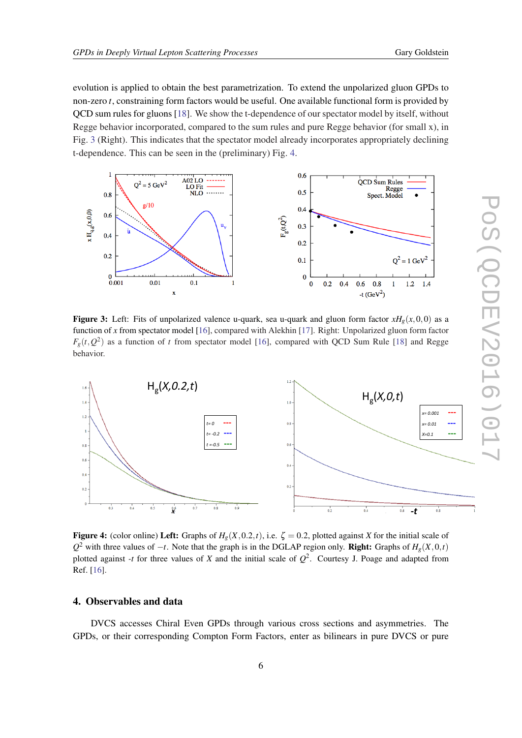<span id="page-6-0"></span>evolution is applied to obtain the best parametrization. To extend the unpolarized gluon GPDs to non-zero *t*, constraining form factors would be useful. One available functional form is provided by QCD sum rules for gluons [\[18\]](#page-9-0). We show the t-dependence of our spectator model by itself, without Regge behavior incorporated, compared to the sum rules and pure Regge behavior (for small x), in Fig. 3 (Right). This indicates that the spectator model already incorporates appropriately declining t-dependence. This can be seen in the (preliminary) Fig. 4.



**Figure 3:** Left: Fits of unpolarized valence u-quark, sea u-quark and gluon form factor  $xH_g(x,0,0)$  as a function of *x* from spectator model [[16\]](#page-9-0), compared with Alekhin [[17\]](#page-9-0). Right: Unpolarized gluon form factor  $F_g(t, Q^2)$  as a function of *t* from spectator model [[16\]](#page-9-0), compared with QCD Sum Rule [\[18](#page-9-0)] and Regge behavior.



Figure 4: (color online) Left: Graphs of  $H<sub>g</sub>(X,0.2,t)$ , i.e.  $\zeta = 0.2$ , plotted against *X* for the initial scale of *Q*<sup>2</sup> with three values of −*t*. Note that the graph is in the DGLAP region only. **Right:** Graphs of  $H_g(X,0,t)$ plotted against *-t* for three values of *X* and the initial scale of  $Q^2$ . Courtesy J. Poage and adapted from Ref. [\[16\]](#page-9-0).

# 4. Observables and data

DVCS accesses Chiral Even GPDs through various cross sections and asymmetries. The GPDs, or their corresponding Compton Form Factors, enter as bilinears in pure DVCS or pure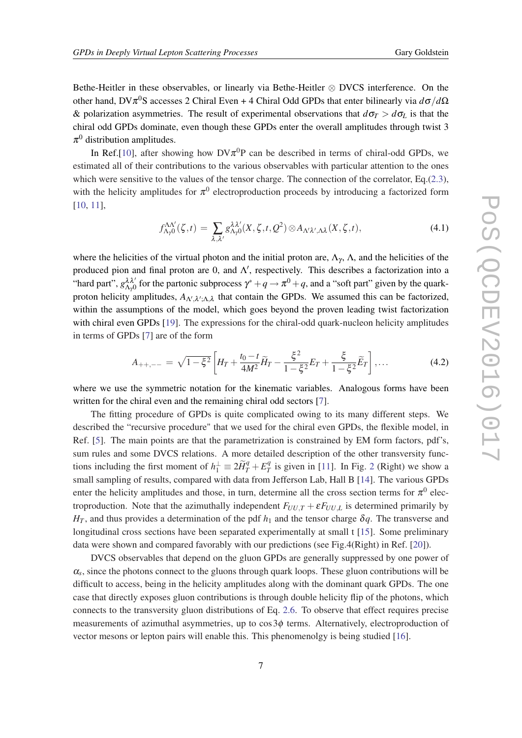Bethe-Heitler in these observables, or linearly via Bethe-Heitler ⊗ DVCS interference. On the other hand, DVπ <sup>0</sup>S accesses 2 Chiral Even + 4 Chiral Odd GPDs that enter bilinearly via *d*σ/*d*Ω & polarization asymmetries. The result of experimental observations that  $d\sigma_T > d\sigma_L$  is that the chiral odd GPDs dominate, even though these GPDs enter the overall amplitudes through twist 3  $\pi^0$  distribution amplitudes.

In Ref.[[10\]](#page-9-0), after showing how  $D V \pi^0 P$  can be described in terms of chiral-odd GPDs, we estimated all of their contributions to the various observables with particular attention to the ones which were sensitive to the values of the tensor charge. The connection of the correlator, Eq.([2.3\)](#page-2-0), with the helicity amplitudes for  $\pi^0$  electroproduction proceeds by introducing a factorized form [[10,](#page-9-0) [11](#page-9-0)],

$$
f^{\Lambda\Lambda'}_{\Lambda\gamma 0}(\zeta,t) = \sum_{\lambda,\lambda'} g^{\lambda\lambda'}_{\Lambda\gamma 0}(X,\zeta,t,Q^2) \otimes A_{\Lambda'\lambda',\Lambda\lambda}(X,\zeta,t), \qquad (4.1)
$$

where the helicities of the virtual photon and the initial proton are,  $\Lambda_{\gamma}$ ,  $\Lambda$ , and the helicities of the produced pion and final proton are 0, and  $\Lambda'$ , respectively. This describes a factorization into a "hard part",  $g_{\Lambda\gamma}^{\lambda\lambda'}$  for the partonic subprocess  $\gamma^* + q \to \pi^0 + q$ , and a "soft part" given by the quarkproton helicity amplitudes,  $A_{\Lambda',\lambda',\Lambda,\lambda}$  that contain the GPDs. We assumed this can be factorized, within the assumptions of the model, which goes beyond the proven leading twist factorization with chiral even GPDs [[19\]](#page-9-0). The expressions for the chiral-odd quark-nucleon helicity amplitudes in terms of GPDs [[7](#page-9-0)] are of the form

$$
A_{++,--} = \sqrt{1-\xi^2} \left[ H_T + \frac{t_0 - t}{4M^2} \widetilde{H}_T - \frac{\xi^2}{1-\xi^2} E_T + \frac{\xi}{1-\xi^2} \widetilde{E}_T \right], \dots \tag{4.2}
$$

where we use the symmetric notation for the kinematic variables. Analogous forms have been written for the chiral even and the remaining chiral odd sectors [[7](#page-9-0)].

The fitting procedure of GPDs is quite complicated owing to its many different steps. We described the "recursive procedure" that we used for the chiral even GPDs, the flexible model, in Ref. [[5](#page-9-0)]. The main points are that the parametrization is constrained by EM form factors, pdf's, sum rules and some DVCS relations. A more detailed description of the other transversity functions including the first moment of  $h_1^{\perp} \equiv 2\widetilde{H}_T^q + E_T^q$  $T<sup>q</sup>$  is given in [\[11](#page-9-0)]. In Fig. [2](#page-5-0) (Right) we show a small sampling of results, compared with data from Jefferson Lab, Hall B [[14\]](#page-9-0). The various GPDs enter the helicity amplitudes and those, in turn, determine all the cross section terms for  $\pi^0$  electroproduction. Note that the azimuthally independent  $F_{UU,T} + \varepsilon F_{UU,L}$  is determined primarily by  $H_T$ , and thus provides a determination of the pdf  $h_1$  and the tensor charge  $\delta q$ . The transverse and longitudinal cross sections have been separated experimentally at small t [[15\]](#page-9-0). Some preliminary data were shown and compared favorably with our predictions (see Fig.4(Right) in Ref. [\[20](#page-9-0)]).

DVCS observables that depend on the gluon GPDs are generally suppressed by one power of  $\alpha_s$ , since the photons connect to the gluons through quark loops. These gluon contributions will be difficult to access, being in the helicity amplitudes along with the dominant quark GPDs. The one case that directly exposes gluon contributions is through double helicity flip of the photons, which connects to the transversity gluon distributions of Eq. [2.6](#page-3-0). To observe that effect requires precise measurements of azimuthal asymmetries, up to  $\cos 3\phi$  terms. Alternatively, electroproduction of vector mesons or lepton pairs will enable this. This phenomenolgy is being studied [[16\]](#page-9-0).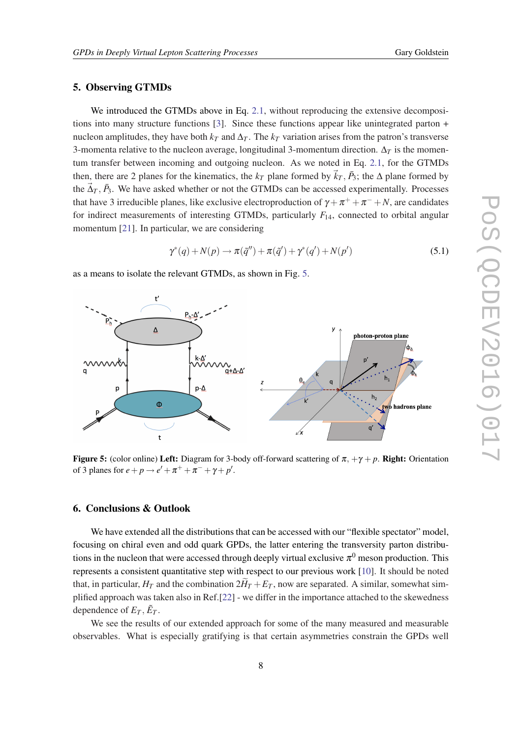# 5. Observing GTMDs

We introduced the GTMDs above in Eq. [2.1,](#page-1-0) without reproducing the extensive decompositions into many structure functions [[3](#page-9-0)]. Since these functions appear like unintegrated parton + nucleon amplitudes, they have both  $k_T$  and  $\Delta_T$ . The  $k_T$  variation arises from the patron's transverse 3-momenta relative to the nucleon average, longitudinal 3-momentum direction.  $\Delta_T$  is the momentum transfer between incoming and outgoing nucleon. As we noted in Eq. [2.1,](#page-1-0) for the GTMDs then, there are 2 planes for the kinematics, the  $k_T$  plane formed by  $\vec{k}_T$ ,  $\vec{P}_3$ ; the  $\Delta$  plane formed by the  $\vec{\Delta}_T$ ,  $\vec{P}_3$ . We have asked whether or not the GTMDs can be accessed experimentally. Processes that have 3 irreducible planes, like exclusive electroproduction of  $\gamma + \pi^+ + \pi^- + N$ , are candidates for indirect measurements of interesting GTMDs, particularly *F*14, connected to orbital angular momentum [\[21](#page-9-0)]. In particular, we are considering

$$
\gamma^*(q) + N(p) \to \pi(\tilde{q}'') + \pi(\tilde{q}') + \gamma^*(q') + N(p')
$$
\n(5.1)

as a means to isolate the relevant GTMDs, as shown in Fig. 5.



**Figure 5:** (color online) Left: Diagram for 3-body off-forward scattering of  $\pi$ ,  $+\gamma$  + *p*. Right: Orientation of 3 planes for  $e + p \rightarrow e' + \pi^+ + \pi^- + \gamma + p'$ .

### 6. Conclusions & Outlook

We have extended all the distributions that can be accessed with our "flexible spectator" model, focusing on chiral even and odd quark GPDs, the latter entering the transversity parton distributions in the nucleon that were accessed through deeply virtual exclusive  $\pi^0$  meson production. This represents a consistent quantitative step with respect to our previous work [\[10](#page-9-0)]. It should be noted that, in particular,  $H_T$  and the combination  $2H_T + E_T$ , now are separated. A similar, somewhat simplified approach was taken also in Ref.[[22\]](#page-9-0) - we differ in the importance attached to the skewedness dependence of  $E_T$ ,  $\tilde{E}_T$ .

We see the results of our extended approach for some of the many measured and measurable observables. What is especially gratifying is that certain asymmetries constrain the GPDs well